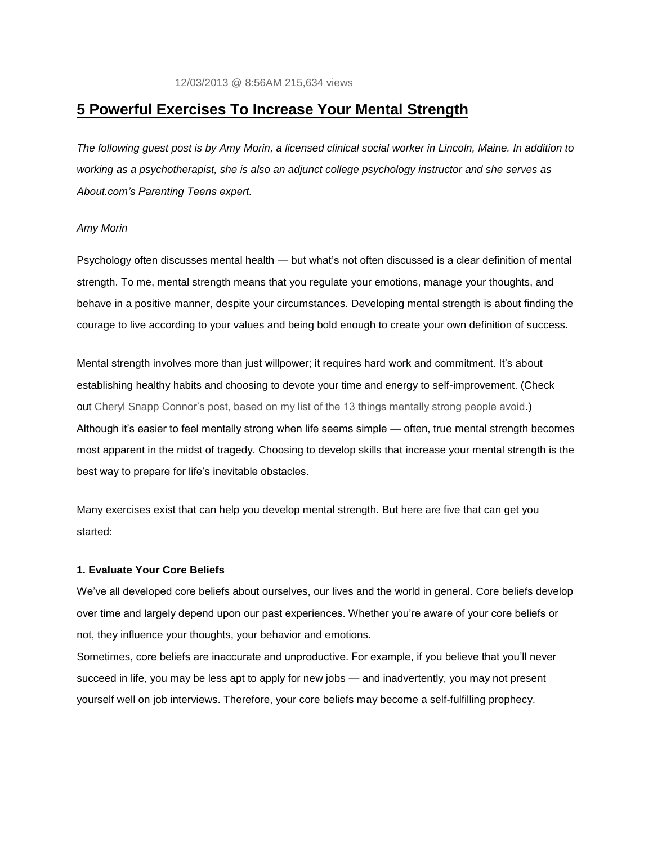# **5 Powerful Exercises To Increase Your Mental Strength**

*The following guest post is by Amy Morin, a licensed clinical social worker in Lincoln, Maine. In addition to working as a psychotherapist, she is also an adjunct college psychology instructor and she serves as About.com's Parenting Teens expert.*

### *Amy Morin*

Psychology often discusses mental health — but what's not often discussed is a clear definition of mental strength. To me, mental strength means that you regulate your emotions, manage your thoughts, and behave in a positive manner, despite your circumstances. Developing mental strength is about finding the courage to live according to your values and being bold enough to create your own definition of success.

Mental strength involves more than just willpower; it requires hard work and commitment. It's about establishing healthy habits and choosing to devote your time and energy to self-improvement. (Check out Cheryl Snapp [Connor's post, based on my list of the 13 things mentally strong people avoid.](http://www.forbes.com/sites/cherylsnappconner/2013/11/18/mentally-strong-people-the-13-things-they-avoid/)) Although it's easier to feel mentally strong when life seems simple — often, true mental strength becomes most apparent in the midst of tragedy. Choosing to develop skills that increase your mental strength is the best way to prepare for life's inevitable obstacles.

Many exercises exist that can help you develop mental strength. But here are five that can get you started:

## **1. Evaluate Your Core Beliefs**

We've all developed core beliefs about ourselves, our lives and the world in general. Core beliefs develop over time and largely depend upon our past experiences. Whether you're aware of your core beliefs or not, they influence your thoughts, your behavior and emotions.

Sometimes, core beliefs are inaccurate and unproductive. For example, if you believe that you'll never succeed in life, you may be less apt to apply for new jobs — and inadvertently, you may not present yourself well on job interviews. Therefore, your core beliefs may become a self-fulfilling prophecy.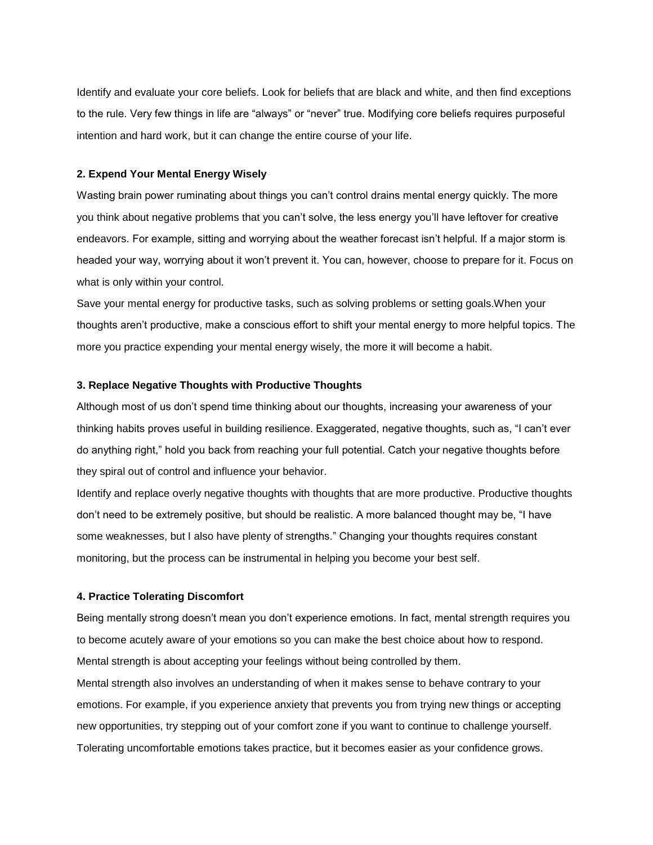Identify and evaluate your core beliefs. Look for beliefs that are black and white, and then find exceptions to the rule. Very few things in life are "always" or "never" true. Modifying core beliefs requires purposeful intention and hard work, but it can change the entire course of your life.

### **2. Expend Your Mental Energy Wisely**

Wasting brain power ruminating about things you can't control drains mental energy quickly. The more you think about negative problems that you can't solve, the less energy you'll have leftover for creative endeavors. For example, sitting and worrying about the weather forecast isn't helpful. If a major storm is headed your way, worrying about it won't prevent it. You can, however, choose to prepare for it. Focus on what is only within your control.

Save your mental energy for productive tasks, such as solving problems or setting goals.When your thoughts aren't productive, make a conscious effort to shift your mental energy to more helpful topics. The more you practice expending your mental energy wisely, the more it will become a habit.

### **3. Replace Negative Thoughts with Productive Thoughts**

Although most of us don't spend time thinking about our thoughts, increasing your awareness of your thinking habits proves useful in building resilience. Exaggerated, negative thoughts, such as, "I can't ever do anything right," hold you back from reaching your full potential. Catch your negative thoughts before they spiral out of control and influence your behavior.

Identify and replace overly negative thoughts with thoughts that are more productive. Productive thoughts don't need to be extremely positive, but should be realistic. A more balanced thought may be, "I have some weaknesses, but I also have plenty of strengths." Changing your thoughts requires constant monitoring, but the process can be instrumental in helping you become your best self.

#### **4. Practice Tolerating Discomfort**

Being mentally strong doesn't mean you don't experience emotions. In fact, mental strength requires you to become acutely aware of your emotions so you can make the best choice about how to respond. Mental strength is about accepting your feelings without being controlled by them.

Mental strength also involves an understanding of when it makes sense to behave contrary to your emotions. For example, if you experience anxiety that prevents you from trying new things or accepting new opportunities, try stepping out of your comfort zone if you want to continue to challenge yourself. Tolerating uncomfortable emotions takes practice, but it becomes easier as your confidence grows.